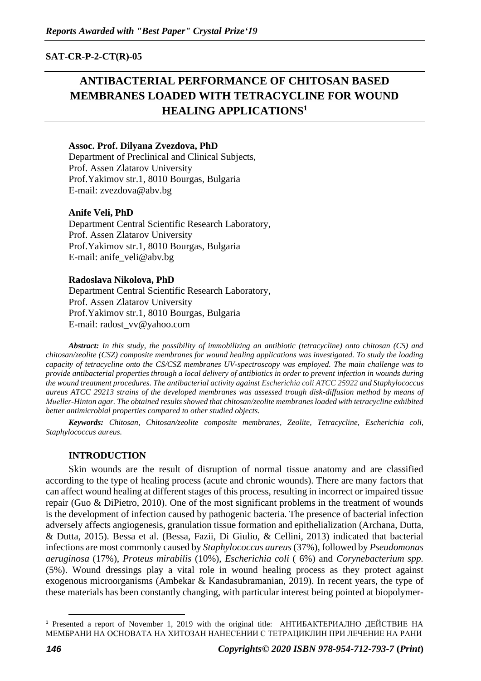**SAT-CR-P-2-CT(R)-05**

# **ANTIBACTERIAL PERFORMANCE OF CHITOSAN BASED MEMBRANES LOADED WITH TETRACYCLINE FOR WOUND HEALING APPLICATIONS<sup>1</sup>**

## **Assoc. Prof. Dilyana Zvezdova, PhD**

Department of Preclinical and Clinical Subjects, Prof. Assen Zlatarov University Prof.Yakimov str.1, 8010 Bourgas, Bulgaria Е-mail: [zvezdova@abv.bg](mailto:zvezdova@abv.bg)

## **Anife Veli, PhD**

Department Central Scientific Research Laboratory, Prof. Assen Zlatarov University Prof.Yakimov str.1, 8010 Bourgas, Bulgaria E-mail: [anife\\_veli@abv.bg](mailto:anife_veli@abv.bg)

## **Radoslava Nikolova, PhD**

Department Central Scientific Research Laboratory, Prof. Assen Zlatarov University Prof.Yakimov str.1, 8010 Bourgas, Bulgaria E-mail: [radost\\_vv@yahoo.com](mailto:radost_vv@yahoo.com)

*Abstract: In this study, the possibility of immobilizing an antibiotic (tetracycline) onto chitosan (CS) and chitosan/zeolite (CSZ) composite membranes for wound healing applications was investigated. To study the loading capacity of tetracycline onto the CS/CSZ membranes UV-spectroscopy was employed. The main challenge was to provide antibacterial properties through a local delivery of antibiotics in order to prevent infection in wounds during the wound treatment procedures. The antibacterial activity against Escherichia coli ATCC 25922 and Staphylococcus aureus ATCC 29213 strains of the developed membranes was assessed trough disk-diffusion method by means of Muеller-Hinton agar. The obtained results showed that chitosan/zeolite membranes loaded with tetracycline exhibited better antimicrobial properties compared to other studied objects.*

*Keywords: Chitosan, Chitosan/zeolite composite membranes, Zeolite, Tetracycline, Escherichia coli, Staphylococcus aureus.*

## **INTRODUCTION**

Skin wounds are the result of disruption of normal tissue anatomy and are classified according to the type of healing process (acute and chronic wounds). There are many factors that can affect wound healing at different stages of this process, resulting in incorrect or impaired tissue repair (Guo & DiPietro, 2010). One of the most significant problems in the treatment of wounds is the development of infection caused by pathogenic bacteria. The presence of bacterial infection adversely affects angiogenesis, granulation tissue formation and epithelialization (Archana, Dutta, & Dutta, 2015). Bessa et al. (Bessa, Fazii, Di Giulio, & Cellini, 2013) indicated that bacterial infections are most commonly caused by *Staphylococcus aureus*(37%), followed by *Pseudomonas aeruginosa* (17%), *Proteus mirabilis* (10%), *Escherichia coli* ( 6%) and *Corynebacterium spp.* (5%). Wound dressings play a vital role in wound healing process as they protect against exogenous microorganisms (Ambekar & Kandasubramanian, 2019). In recent years, the type of these materials has been constantly changing, with particular interest being pointed at biopolymer-

<sup>&</sup>lt;sup>1</sup> Presented a report of November 1, 2019 with the original title: АНТИБАКТЕРИАЛНО ДЕЙСТВИЕ НА МЕМБРАНИ НА ОСНОВАТА НА ХИТОЗАН НАНЕСЕНИИ С ТЕТРАЦИКЛИН ПРИ ЛЕЧЕНИЕ НА РАНИ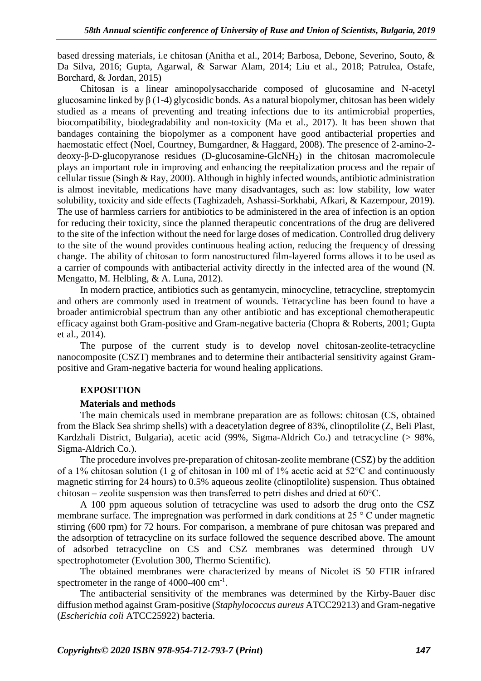based dressing materials, i.e chitosan (Anitha et al., 2014; Barbosa, Debone, Severino, Souto, & Da Silva, 2016; Gupta, Agarwal, & Sarwar Alam, 2014; Liu et al., 2018; Patrulea, Ostafe, Borchard, & Jordan, 2015)

Chitosan is a linear aminopolysaccharide composed of glucosamine and N-acetyl glucosamine linked by  $\beta$  (1-4) glycosidic bonds. As a natural biopolymer, chitosan has been widely studied as a means of preventing and treating infections due to its antimicrobial properties, biocompatibility, biodegradability and non-toxicity (Ma et al., 2017). It has been shown that bandages containing the biopolymer as a component have good antibacterial properties and haemostatic effect (Noel, Courtney, Bumgardner, & Haggard, 2008). The presence of 2-amino-2deoxy-β-D-glucopyranose residues (D-glucosamine-GlcNH2) in the chitosan macromolecule plays an important role in improving and enhancing the reepitalization process and the repair of cellular tissue (Singh & Ray, 2000). Although in highly infected wounds, antibiotic administration is almost inevitable, medications have many disadvantages, such as: low stability, low water solubility, toxicity and side effects (Taghizadeh, Ashassi-Sorkhabi, Afkari, & Kazempour, 2019). The use of harmless carriers for antibiotics to be administered in the area of infection is an option for reducing their toxicity, since the planned therapeutic concentrations of the drug are delivered to the site of the infection without the need for large doses of medication. Controlled drug delivery to the site of the wound provides continuous healing action, reducing the frequency of dressing change. The ability of chitosan to form nanostructured film-layered forms allows it to be used as a carrier of compounds with antibacterial activity directly in the infected area of the wound (N. Mengatto, M. Helbling, & A. Luna, 2012).

In modern practice, antibiotics such as gentamycin, minocycline, tetracycline, streptomycin and others are commonly used in treatment of wounds. Tetracycline has been found to have a broader antimicrobial spectrum than any other antibiotic and has exceptional chemotherapeutic efficacy against both Gram-positive and Gram-negative bacteria (Chopra & Roberts, 2001; Gupta et al., 2014).

The purpose of the current study is to develop novel chitosan-zeolite-tetracycline nanocomposite (CSZT) membranes and to determine their antibacterial sensitivity against Grampositive and Gram-negative bacteria for wound healing applications.

## **EXPOSITION**

#### **Materials and methods**

The main chemicals used in membrane preparation are as follows: chitosan (CS, obtained from the Black Sea shrimp shells) with a deacetylation degree of 83%, clinoptilolite (Z, Beli Plast, Kardzhali District, Bulgaria), acetic acid (99%, Sigma-Aldrich Co.) and tetracycline (> 98%, Sigma-Aldrich Co.).

The procedure involves pre-preparation of chitosan-zeolite membrane (CSZ) by the addition of a 1% chitosan solution (1 g of chitosan in 100 ml of 1% acetic acid at 52°C and continuously magnetic stirring for 24 hours) to 0.5% aqueous zeolite (clinoptilolite) suspension. Thus obtained chitosan – zeolite suspension was then transferred to petri dishes and dried at 60°C.

A 100 ppm aqueous solution of tetracycline was used to adsorb the drug onto the CSZ membrane surface. The impregnation was performed in dark conditions at 25 ° C under magnetic stirring (600 rpm) for 72 hours. For comparison, a membrane of pure chitosan was prepared and the adsorption of tetracycline on its surface followed the sequence described above. The amount of adsorbed tetracycline on CS and CSZ membranes was determined through UV spectrophotometer (Evolution 300, Thermo Scientific).

The obtained membranes were characterized by means of Nicolet iS 50 FTIR infrared spectrometer in the range of  $4000-400$  cm<sup>-1</sup>.

The antibacterial sensitivity of the membranes was determined by the Kirby-Bauer disc diffusion method against Gram-positive (*Staphylococcus aureus* ATCC29213) and Gram-negative (*Escherichia coli* ATCC25922) bacteria.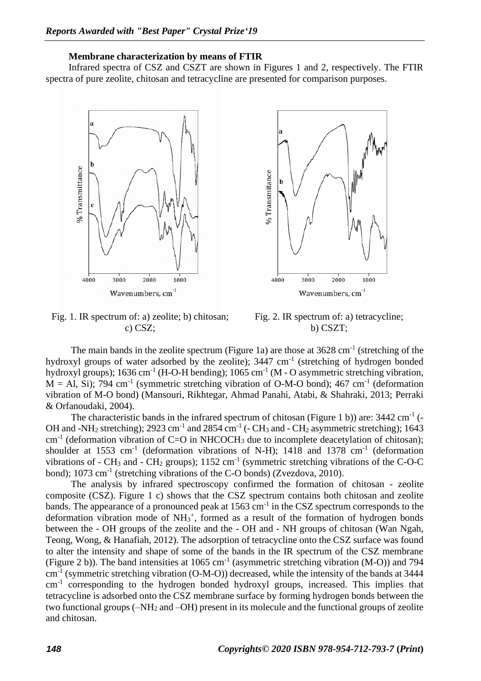#### **Membrane characterization by means of FTIR**

Infrared spectra of CSZ and CSZT are shown in Figures 1 and 2, respectively. The FTIR spectra of pure zeolite, chitosan and tetracycline are presented for comparison purposes.





Fig. 1. IR spectrum of: a) zeolite; b) chitosan; c) CSZ;

Fig. 2. IR spectrum of: a) tetracycline; b) CSZT;

The main bands in the zeolite spectrum (Figure 1a) are those at  $3628 \text{ cm}^{-1}$  (stretching of the hydroxyl groups of water adsorbed by the zeolite);  $3447 \text{ cm}^{-1}$  (stretching of hydrogen bonded hydroxyl groups);  $1636 \text{ cm}^{-1}$  (H-O-H bending);  $1065 \text{ cm}^{-1}$  (M - O asymmetric stretching vibration,  $M = Al$ , Si); 794 cm<sup>-1</sup> (symmetric stretching vibration of O-M-O bond); 467 cm<sup>-1</sup> (deformation vibration of M-O bond) (Mansouri, Rikhtegar, Ahmad Panahi, Atabi, & Shahraki, 2013; Perraki & Orfanoudaki, 2004).

The characteristic bands in the infrared spectrum of chitosan (Figure 1 b)) are:  $3442 \text{ cm}^{-1}$  (-OH and -NH<sub>2</sub> stretching); 2923 cm<sup>-1</sup> and 2854 cm<sup>-1</sup> (- CH<sub>3</sub> and - CH<sub>2</sub> asymmetric stretching); 1643  $cm<sup>-1</sup>$  (deformation vibration of C=O in NHCOCH<sub>3</sub> due to incomplete deacetylation of chitosan); shoulder at 1553 cm<sup>-1</sup> (deformation vibrations of N-H); 1418 and 1378 cm<sup>-1</sup> (deformation vibrations of - CH<sub>3</sub> and - CH<sub>2</sub> groups);  $1152 \text{ cm}^{-1}$  (symmetric stretching vibrations of the C-O-C bond); 1073 cm<sup>-1</sup> (stretching vibrations of the C-O bonds) (Zvezdova, 2010).

The analysis by infrared spectroscopy confirmed the formation of chitosan - zeolite composite (CSZ). Figure 1 c) shows that the CSZ spectrum contains both chitosan and zeolite bands. The appearance of a pronounced peak at 1563 cm<sup>-1</sup> in the CSZ spectrum corresponds to the deformation vibration mode of  $NH_3^+$ , formed as a result of the formation of hydrogen bonds between the - OH groups of the zeolite and the - OH and - NH groups of chitosan (Wan Ngah, Teong, Wong, & Hanafiah, 2012). The adsorption of tetracycline onto the CSZ surface was found to alter the intensity and shape of some of the bands in the IR spectrum of the CSZ membrane (Figure 2 b)). The band intensities at 1065 cm<sup>-1</sup> (asymmetric stretching vibration (M-O)) and 794 cm<sup>-1</sup> (symmetric stretching vibration (O-M-O)) decreased, while the intensity of the bands at 3444 cm<sup>-1</sup> corresponding to the hydrogen bonded hydroxyl groups, increased. This implies that tetracycline is adsorbed onto the CSZ membrane surface by forming hydrogen bonds between the two functional groups (–NH<sup>2</sup> and –OH) present in its molecule and the functional groups of zeolite and chitosan.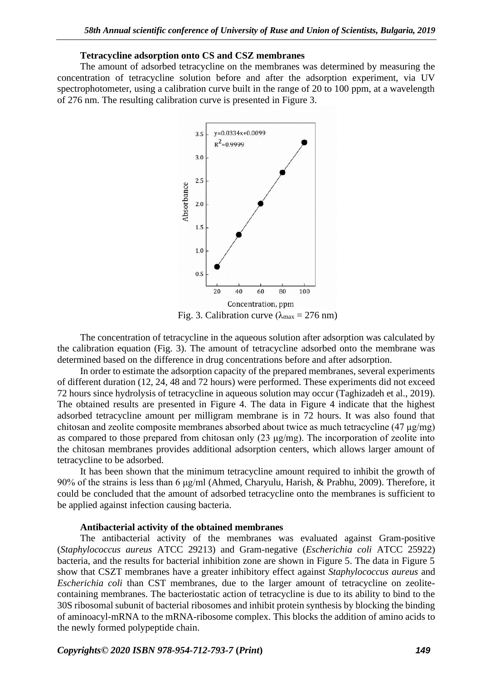## **Tetracycline adsorption onto CS and CSZ membranes**

The amount of adsorbed tetracycline on the membranes was determined by measuring the concentration of tetracycline solution before and after the adsorption experiment, via UV spectrophotometer, using a calibration curve built in the range of 20 to 100 ppm, at a wavelength of 276 nm. The resulting calibration curve is presented in Figure 3.



Fig. 3. Calibration curve ( $\lambda_{\text{max}} = 276 \text{ nm}$ )

The concentration of tetracycline in the aqueous solution after adsorption was calculated by the calibration equation (Fig. 3). The amount of tetracycline adsorbed onto the membrane was determined based on the difference in drug concentrations before and after adsorption.

In order to estimate the adsorption capacity of the prepared membranes, several experiments of different duration (12, 24, 48 and 72 hours) were performed. These experiments did not exceed 72 hours since hydrolysis of tetracycline in aqueous solution may occur (Taghizadeh et al., 2019). The obtained results are presented in Figure 4. The data in Figure 4 indicate that the highest adsorbed tetracycline amount per milligram membrane is in 72 hours. It was also found that chitosan and zeolite composite membranes absorbed about twice as much tetracycline (47 μg/mg) as compared to those prepared from chitosan only  $(23 \mu g/mg)$ . The incorporation of zeolite into the chitosan membranes provides additional adsorption centers, which allows larger amount of tetracycline to be adsorbed.

It has been shown that the minimum tetracycline amount required to inhibit the growth of 90% of the strains is less than 6 μg/ml (Ahmed, Charyulu, Harish, & Prabhu, 2009). Therefore, it could be concluded that the amount of adsorbed tetracycline onto the membranes is sufficient to be applied against infection causing bacteria.

## **Antibacterial activity of the obtained membranes**

The antibacterial activity of the membranes was evaluated against Gram-positive (*Staphylococcus aureus* ATCC 29213) and Gram-negative (*Escherichia coli* ATCC 25922) bacteria, and the results for bacterial inhibition zone are shown in Figure 5. The data in Figure 5 show that CSZT membranes have a greater inhibitory effect against *Staphylococcus aureus* and *Escherichia coli* than CST membranes, due to the larger amount of tetracycline on zeolitecontaining membranes. The bacteriostatic action of tetracycline is due to its ability to bind to the 30S ribosomal subunit of bacterial ribosomes and inhibit protein synthesis by blocking the binding of aminoacyl-mRNA to the mRNA-ribosome complex. This blocks the addition of amino acids to the newly formed polypeptide chain.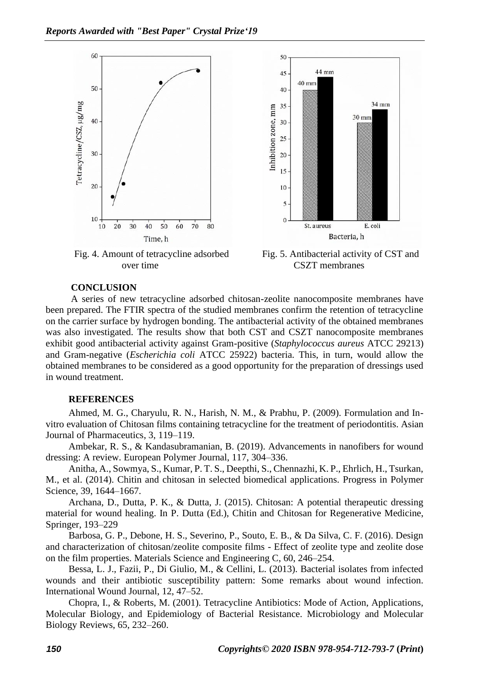

Fig. 4. Amount of tetracycline adsorbed over time

Fig. 5. Antibacterial activity of CST and CSZT membranes

### **CONCLUSION**

A series of new tetracycline adsorbed chitosan-zeolite nanocomposite membranes have been prepared. The FTIR spectra of the studied membranes confirm the retention of tetracycline on the carrier surface by hydrogen bonding. The antibacterial activity of the obtained membranes was also investigated. The results show that both CST and CSZT nanocomposite membranes exhibit good antibacterial activity against Gram-positive (*Staphylococcus aureus* ATCC 29213) and Gram-negative (*Escherichia coli* ATCC 25922) bacteria. This, in turn, would allow the obtained membranes to be considered as a good opportunity for the preparation of dressings used in wound treatment.

#### **REFERENCES**

Ahmed, M. G., Charyulu, R. N., Harish, N. M., & Prabhu, P. (2009). Formulation and Invitro evaluation of Chitosan films containing tetracycline for the treatment of periodontitis. Asian Journal of Pharmaceutics, 3, 119–119.

Ambekar, R. S., & Kandasubramanian, B. (2019). Advancements in nanofibers for wound dressing: A review. European Polymer Journal, 117, 304–336.

Anitha, A., Sowmya, S., Kumar, P. T. S., Deepthi, S., Chennazhi, K. P., Ehrlich, H., Tsurkan, M., et al. (2014). Chitin and chitosan in selected biomedical applications. Progress in Polymer Science, 39, 1644–1667.

Archana, D., Dutta, P. K., & Dutta, J. (2015). Chitosan: A potential therapeutic dressing material for wound healing. In P. Dutta (Ed.), Chitin and Chitosan for Regenerative Medicine, Springer, 193–229

Barbosa, G. P., Debone, H. S., Severino, P., Souto, E. B., & Da Silva, C. F. (2016). Design and characterization of chitosan/zeolite composite films - Effect of zeolite type and zeolite dose on the film properties. Materials Science and Engineering C, 60, 246–254.

Bessa, L. J., Fazii, P., Di Giulio, M., & Cellini, L. (2013). Bacterial isolates from infected wounds and their antibiotic susceptibility pattern: Some remarks about wound infection. International Wound Journal, 12, 47–52.

Chopra, I., & Roberts, M. (2001). Tetracycline Antibiotics: Mode of Action, Applications, Molecular Biology, and Epidemiology of Bacterial Resistance. Microbiology and Molecular Biology Reviews, 65, 232–260.